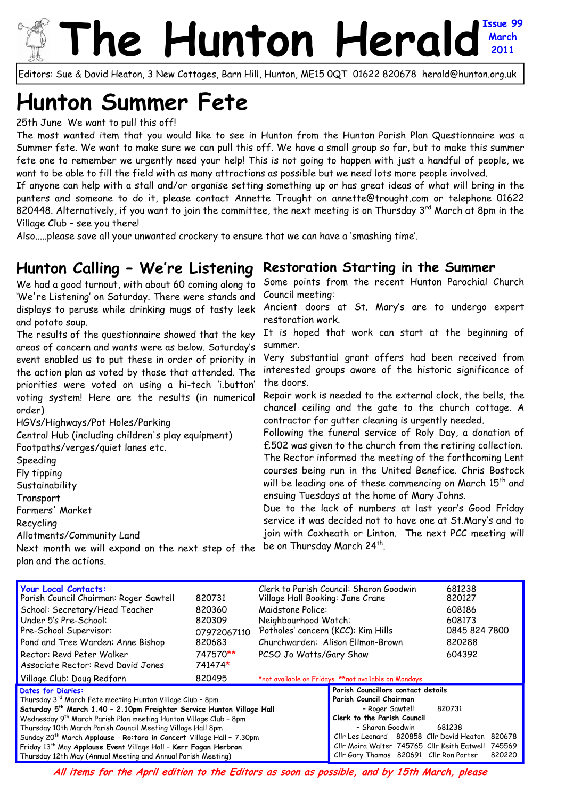# he Hunton Heral **March 2011**

Editors: Sue & David Heaton, 3 New Cottages, Barn Hill, Hunton, ME15 0QT 01622 820678 herald@hunton.org.uk

# **Hunton Summer Fete**

25th June We want to pull this off!

The most wanted item that you would like to see in Hunton from the Hunton Parish Plan Questionnaire was a Summer fete. We want to make sure we can pull this off. We have a small group so far, but to make this summer fete one to remember we urgently need your help! This is not going to happen with just a handful of people, we want to be able to fill the field with as many attractions as possible but we need lots more people involved.

If anyone can help with a stall and/or organise setting something up or has great ideas of what will bring in the punters and someone to do it, please contact Annette Trought on annette@trought.com or telephone 01622 820448. Alternatively, if you want to join the committee, the next meeting is on Thursday 3<sup>rd</sup> March at 8pm in the Village Club – see you there!

Also.....please save all your unwanted crockery to ensure that we can have a 'smashing time'.

#### **Hunton Calling – We're Listening Restoration Starting in the Summer**

We had a good turnout, with about 60 coming along to 'We're Listening' on Saturday. There were stands and displays to peruse while drinking mugs of tasty leek and potato soup.

The results of the questionnaire showed that the key areas of concern and wants were as below. Saturday's event enabled us to put these in order of priority in the action plan as voted by those that attended. The priorities were voted on using a hi-tech 'i.button' voting system! Here are the results (in numerical order)

HGVs/Highways/Pot Holes/Parking Central Hub (including children's play equipment) Footpaths/verges/quiet lanes etc. Speeding

Fly tipping **Sustainability** Transport

Farmers' Market

Recycling

Allotments/Community Land

Next month we will expand on the next step of the plan and the actions.

Some points from the recent Hunton Parochial Church Council meeting:

Ancient doors at St. Mary's are to undergo expert restoration work.

It is hoped that work can start at the beginning of summer.

Very substantial grant offers had been received from interested groups aware of the historic significance of the doors.

Repair work is needed to the external clock, the bells, the chancel ceiling and the gate to the church cottage. A contractor for gutter cleaning is urgently needed.

Following the funeral service of Roly Day, a donation of £502 was given to the church from the retiring collection. The Rector informed the meeting of the forthcoming Lent courses being run in the United Benefice. Chris Bostock will be leading one of these commencing on March 15<sup>th</sup> and ensuing Tuesdays at the home of Mary Johns.

Due to the lack of numbers at last year's Good Friday service it was decided not to have one at St.Mary's and to join with Coxheath or Linton. The next PCC meeting will be on Thursday March 24<sup>th</sup>.

| Your Local Contacts:<br>Parish Council Chairman: Roger Sawtell<br>School: Secretary/Head Teacher<br>Under 5's Pre-School:<br>Pre-School Supervisor:<br>Pond and Tree Warden: Anne Bishop<br>Rector: Revd Peter Walker<br>Associate Rector: Revd David Jones | 820731<br>820360<br>820309<br>07972067110<br>820683<br>747570**<br>741474* | Clerk to Parish Council: Sharon Goodwin<br>Village Hall Booking: Jane Crane<br>Maidstone Police:<br>Neighbourhood Watch:<br>'Potholes' concern (KCC): Kim Hills<br>Churchwarden: Alison Fllman-Brown<br>PCSO Jo Watts/Gary Shaw |                                                                                                        |        | 681238<br>820127<br>608186<br>608173<br>0845 824 7800<br>820288<br>604392 |  |
|-------------------------------------------------------------------------------------------------------------------------------------------------------------------------------------------------------------------------------------------------------------|----------------------------------------------------------------------------|---------------------------------------------------------------------------------------------------------------------------------------------------------------------------------------------------------------------------------|--------------------------------------------------------------------------------------------------------|--------|---------------------------------------------------------------------------|--|
|                                                                                                                                                                                                                                                             |                                                                            |                                                                                                                                                                                                                                 |                                                                                                        |        |                                                                           |  |
| Village Club: Doug Redfarn                                                                                                                                                                                                                                  | 820495                                                                     | *not available on Fridays **not available on Mondays                                                                                                                                                                            |                                                                                                        |        |                                                                           |  |
| Dates for Diaries:<br>Thursday 3rd March Fete meeting Hunton Village Club - 8pm<br>Saturday 5 <sup>th</sup> March 1.40 - 2.10pm Freighter Service Hunton Village Hall                                                                                       |                                                                            |                                                                                                                                                                                                                                 | Parish Councillors contact details<br>Parish Council Chairman<br>820731<br>- Roger Sawtell             |        |                                                                           |  |
| Wednesday 9 <sup>th</sup> March Parish Plan meeting Hunton Village Club - 8pm                                                                                                                                                                               |                                                                            |                                                                                                                                                                                                                                 | Clerk to the Parish Council                                                                            |        |                                                                           |  |
| Thursday 10th March Parish Council Meeting Village Hall 8pm                                                                                                                                                                                                 |                                                                            |                                                                                                                                                                                                                                 | - Sharon Goodwin                                                                                       |        | 681238                                                                    |  |
| Sunday 20 <sup>th</sup> March Applause - Ro: toro in Concert Village Hall - 7.30pm<br>Friday 13 <sup>th</sup> May Applause Event Village Hall - Kerr Fagan Herbron                                                                                          | Cllr Gary Thomas 820691 Cllr Ron Porter                                    |                                                                                                                                                                                                                                 | Cllr Les Leonard 820858 Cllr David Heaton 820678<br>Cllr Moira Walter 745765 Cllr Keith Eatwell 745569 | 820220 |                                                                           |  |
| Thursday 12th May (Annual Meeting and Annual Parish Meeting)                                                                                                                                                                                                |                                                                            |                                                                                                                                                                                                                                 |                                                                                                        |        |                                                                           |  |

**All items for the April edition to the Editors as soon as possible, and by 15th March, please**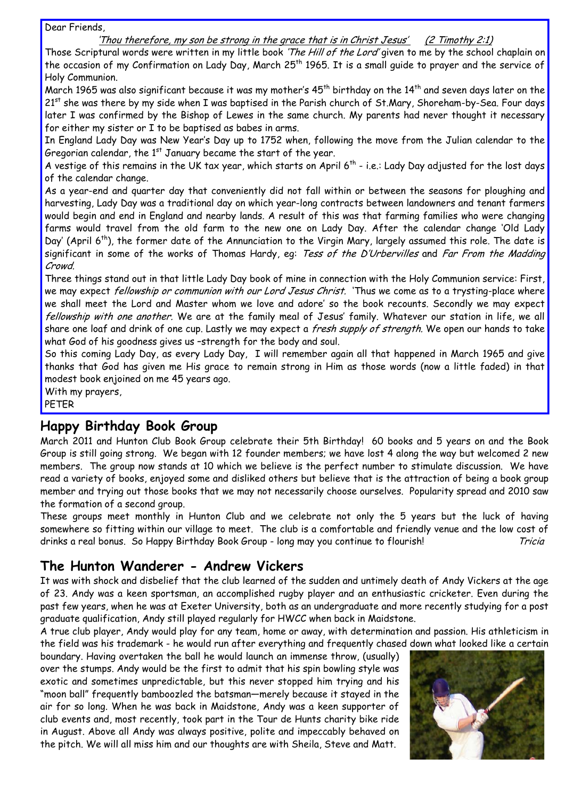Dear Friends,

#### 'Thou therefore, my son be strong in the grace that is in Christ Jesus' (2 Timothy 2:1)

Those Scriptural words were written in my little book 'The Hill of the Lord' given to me by the school chaplain on the occasion of my Confirmation on Lady Day, March 25<sup>th</sup> 1965. It is a small guide to prayer and the service of Holy Communion.

March 1965 was also significant because it was my mother's  $45^{th}$  birthday on the  $14^{th}$  and seven days later on the 21st she was there by my side when I was baptised in the Parish church of St.Mary, Shoreham-by-Sea. Four days later I was confirmed by the Bishop of Lewes in the same church. My parents had never thought it necessary for either my sister or I to be baptised as babes in arms.

In England Lady Day was New Year's Day up to 1752 when, following the move from the Julian calendar to the Gregorian calendar, the  $1<sup>st</sup>$  January became the start of the year.

A vestige of this remains in the UK tax year, which starts on April  $6^{th}$  - i.e.: Lady Day adjusted for the lost days of the calendar change.

As a year-end and quarter day that conveniently did not fall within or between the seasons for ploughing and harvesting, Lady Day was a traditional day on which year-long contracts between landowners and tenant farmers would begin and end in England and nearby lands. A result of this was that farming families who were changing farms would travel from the old farm to the new one on Lady Day. After the calendar change 'Old Lady Day' (April 6<sup>th</sup>), the former date of the Annunciation to the Virgin Mary, largely assumed this role. The date is significant in some of the works of Thomas Hardy, eg: Tess of the D'Urbervilles and Far From the Madding Crowd.

Three things stand out in that little Lady Day book of mine in connection with the Holy Communion service: First, we may expect *fellowship or communion with our Lord Jesus Christ*. 'Thus we come as to a trysting-place where we shall meet the Lord and Master whom we love and adore' so the book recounts. Secondly we may expect fellowship with one another. We are at the family meal of Jesus' family. Whatever our station in life, we all share one loaf and drink of one cup. Lastly we may expect a fresh supply of strength. We open our hands to take what God of his goodness gives us –strength for the body and soul.

So this coming Lady Day, as every Lady Day, I will remember again all that happened in March 1965 and give thanks that God has given me His grace to remain strong in Him as those words (now a little faded) in that modest book enjoined on me 45 years ago.

With my prayers,

PETER

# **Happy Birthday Book Group**

March 2011 and Hunton Club Book Group celebrate their 5th Birthday! 60 books and 5 years on and the Book Group is still going strong. We began with 12 founder members; we have lost 4 along the way but welcomed 2 new members. The group now stands at 10 which we believe is the perfect number to stimulate discussion. We have read a variety of books, enjoyed some and disliked others but believe that is the attraction of being a book group member and trying out those books that we may not necessarily choose ourselves. Popularity spread and 2010 saw the formation of a second group.

These groups meet monthly in Hunton Club and we celebrate not only the 5 years but the luck of having somewhere so fitting within our village to meet. The club is a comfortable and friendly venue and the low cost of drinks a real bonus. So Happy Birthday Book Group - long may you continue to flourish! Tricia

# **The Hunton Wanderer - Andrew Vickers**

It was with shock and disbelief that the club learned of the sudden and untimely death of Andy Vickers at the age of 23. Andy was a keen sportsman, an accomplished rugby player and an enthusiastic cricketer. Even during the past few years, when he was at Exeter University, both as an undergraduate and more recently studying for a post graduate qualification, Andy still played regularly for HWCC when back in Maidstone.

A true club player, Andy would play for any team, home or away, with determination and passion. His athleticism in the field was his trademark - he would run after everything and frequently chased down what looked like a certain

boundary. Having overtaken the ball he would launch an immense throw, (usually) over the stumps. Andy would be the first to admit that his spin bowling style was exotic and sometimes unpredictable, but this never stopped him trying and his "moon ball" frequently bamboozled the batsman—merely because it stayed in the air for so long. When he was back in Maidstone, Andy was a keen supporter of club events and, most recently, took part in the Tour de Hunts charity bike ride in August. Above all Andy was always positive, polite and impeccably behaved on the pitch. We will all miss him and our thoughts are with Sheila, Steve and Matt.

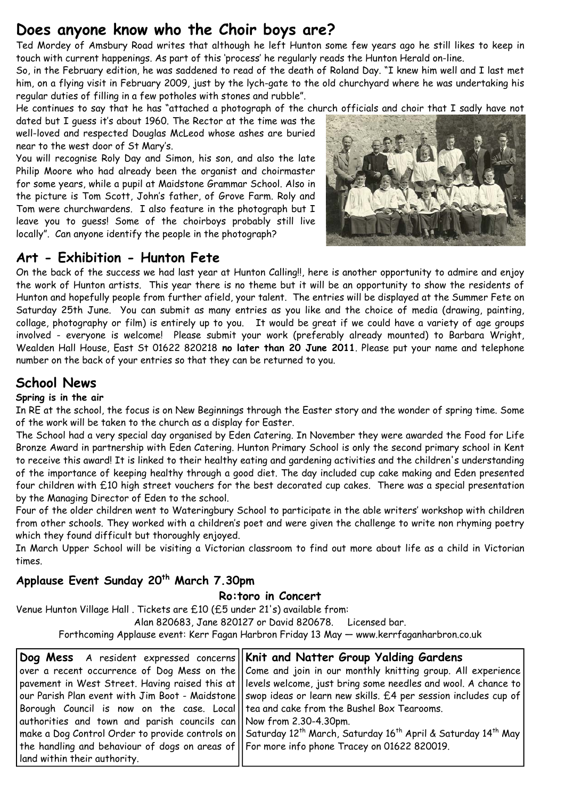# **Does anyone know who the Choir boys are?**

Ted Mordey of Amsbury Road writes that although he left Hunton some few years ago he still likes to keep in touch with current happenings. As part of this 'process' he regularly reads the Hunton Herald on-line.

So, in the February edition, he was saddened to read of the death of Roland Day. "I knew him well and I last met him, on a flying visit in February 2009, just by the lych-gate to the old churchyard where he was undertaking his regular duties of filling in a few potholes with stones and rubble".

He continues to say that he has "attached a photograph of the church officials and choir that I sadly have not

dated but I guess it's about 1960. The Rector at the time was the well-loved and respected Douglas McLeod whose ashes are buried near to the west door of St Mary's.

You will recognise Roly Day and Simon, his son, and also the late Philip Moore who had already been the organist and choirmaster for some years, while a pupil at Maidstone Grammar School. Also in the picture is Tom Scott, John's father, of Grove Farm. Roly and Tom were churchwardens. I also feature in the photograph but I leave you to guess! Some of the choirboys probably still live locally". Can anyone identify the people in the photograph?



# **Art - Exhibition - Hunton Fete**

On the back of the success we had last year at Hunton Calling!!, here is another opportunity to admire and enjoy the work of Hunton artists. This year there is no theme but it will be an opportunity to show the residents of Hunton and hopefully people from further afield, your talent. The entries will be displayed at the Summer Fete on Saturday 25th June. You can submit as many entries as you like and the choice of media (drawing, painting, collage, photography or film) is entirely up to you. It would be great if we could have a variety of age groups involved - everyone is welcome! Please submit your work (preferably already mounted) to Barbara Wright, Wealden Hall House, East St 01622 820218 **no later than 20 June 2011**. Please put your name and telephone number on the back of your entries so that they can be returned to you.

# **School News**

#### **Spring is in the air**

In RE at the school, the focus is on New Beginnings through the Easter story and the wonder of spring time. Some of the work will be taken to the church as a display for Easter.

The School had a very special day organised by Eden Catering. In November they were awarded the Food for Life Bronze Award in partnership with Eden Catering. Hunton Primary School is only the second primary school in Kent to receive this award! It is linked to their healthy eating and gardening activities and the children's understanding of the importance of keeping healthy through a good diet. The day included cup cake making and Eden presented four children with £10 high street vouchers for the best decorated cup cakes. There was a special presentation by the Managing Director of Eden to the school.

Four of the older children went to Wateringbury School to participate in the able writers' workshop with children from other schools. They worked with a children's poet and were given the challenge to write non rhyming poetry which they found difficult but thoroughly enjoyed.

In March Upper School will be visiting a Victorian classroom to find out more about life as a child in Victorian times.

# Applause Event Sunday 20<sup>th</sup> March 7.30pm

#### **Ro:toro in Concert**

Venue Hunton Village Hall . Tickets are £10 (£5 under 21's) available from:

Alan 820683, Jane 820127 or David 820678. Licensed bar.

Forthcoming Applause event: Kerr Fagan Harbron Friday 13 May — www.kerrfaganharbron.co.uk

|                                                                                               | Dog Mess A resident expressed concerns    Knit and Natter Group Yalding Gardens                                                                           |  |  |  |
|-----------------------------------------------------------------------------------------------|-----------------------------------------------------------------------------------------------------------------------------------------------------------|--|--|--|
|                                                                                               | over a recent occurrence of Dog Mess on the Come and join in our monthly knitting group. All experience                                                   |  |  |  |
|                                                                                               | pavement in West Street. Having raised this at  levels welcome, just bring some needles and wool. A chance to                                             |  |  |  |
|                                                                                               | our Parish Plan event with Jim Boot - Maidstone  swop ideas or learn new skills. £4 per session includes cup of                                           |  |  |  |
| Borough Council is now on the case. Local   tea and cake from the Bushel Box Tearooms.        |                                                                                                                                                           |  |  |  |
| authorities and town and parish councils can   Now from 2.30-4.30pm.                          |                                                                                                                                                           |  |  |  |
|                                                                                               | $ $ make a Dog Control Order to provide controls on $  $ Saturday 12 <sup>th</sup> March, Saturday 16 <sup>th</sup> April & Saturday 14 <sup>th</sup> May |  |  |  |
| the handling and behaviour of dogs on areas of    For more info phone Tracey on 01622 820019. |                                                                                                                                                           |  |  |  |
| I land within their authority.                                                                |                                                                                                                                                           |  |  |  |